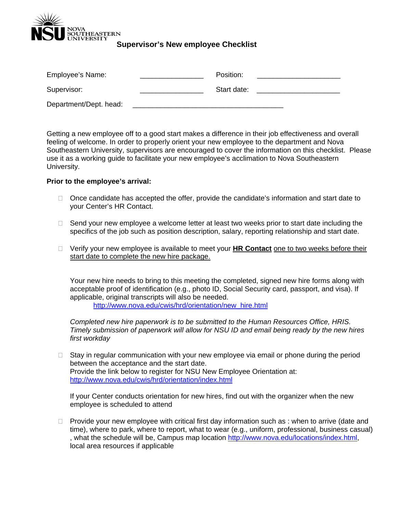

**Supervisor's New employee Checklist** 

| Employee's Name:       | Position:   |  |
|------------------------|-------------|--|
| Supervisor:            | Start date: |  |
| Department/Dept. head: |             |  |

Getting a new employee off to a good start makes a difference in their job effectiveness and overall feeling of welcome. In order to properly orient your new employee to the department and Nova Southeastern University, supervisors are encouraged to cover the information on this checklist. Please use it as a working guide to facilitate your new employee's acclimation to Nova Southeastern University.

#### **Prior to the employee's arrival:**

- $\Box$  Once candidate has accepted the offer, provide the candidate's information and start date to your Center's HR Contact.
- $\Box$  Send your new employee a welcome letter at least two weeks prior to start date including the specifics of the job such as position description, salary, reporting relationship and start date.
- Verify your new employee is available to meet your **HR Contact** one to two weeks before their start date to complete the new hire package.

Your new hire needs to bring to this meeting the completed, signed new hire forms along with acceptable proof of identification (e.g., photo ID, Social Security card, passport, and visa). If applicable, original transcripts will also be needed. http://www.nova.edu/cwis/hrd/orientation/new\_hire.html

*Completed new hire paperwork is to be submitted to the Human Resources Office, HRIS. Timely submission of paperwork will allow for NSU ID and email being ready by the new hires first workday* 

 $\Box$  Stay in regular communication with your new employee via email or phone during the period between the acceptance and the start date. Provide the link below to register for NSU New Employee Orientation at: http://www.nova.edu/cwis/hrd/orientation/index.html

If your Center conducts orientation for new hires, find out with the organizer when the new employee is scheduled to attend

 $\Box$  Provide your new employee with critical first day information such as : when to arrive (date and time), where to park, where to report, what to wear (e.g., uniform, professional, business casual) , what the schedule will be, Campus map location http://www.nova.edu/locations/index.html, local area resources if applicable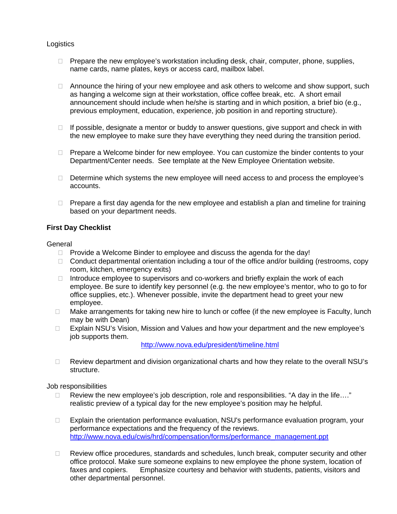## **Logistics**

- $\Box$  Prepare the new employee's workstation including desk, chair, computer, phone, supplies, name cards, name plates, keys or access card, mailbox label.
- $\Box$  Announce the hiring of your new employee and ask others to welcome and show support, such as hanging a welcome sign at their workstation, office coffee break, etc. A short email announcement should include when he/she is starting and in which position, a brief bio (e.g., previous employment, education, experience, job position in and reporting structure).
- $\Box$  If possible, designate a mentor or buddy to answer questions, give support and check in with the new employee to make sure they have everything they need during the transition period.
- $\Box$  Prepare a Welcome binder for new employee. You can customize the binder contents to your Department/Center needs. See template at the New Employee Orientation website.
- $\Box$  Determine which systems the new employee will need access to and process the employee's accounts.
- $\Box$  Prepare a first day agenda for the new employee and establish a plan and timeline for training based on your department needs.

# **First Day Checklist**

### General

- $\Box$  Provide a Welcome Binder to employee and discuss the agenda for the day!
- $\Box$  Conduct departmental orientation including a tour of the office and/or building (restrooms, copy room, kitchen, emergency exits)
- $\Box$  Introduce employee to supervisors and co-workers and briefly explain the work of each employee. Be sure to identify key personnel (e.g. the new employee's mentor, who to go to for office supplies, etc.). Whenever possible, invite the department head to greet your new employee.
- $\Box$  Make arrangements for taking new hire to lunch or coffee (if the new employee is Faculty, lunch may be with Dean)
- □ Explain NSU's Vision, Mission and Values and how your department and the new employee's job supports them.

http://www.nova.edu/president/timeline.html

 $\Box$  Review department and division organizational charts and how they relate to the overall NSU's structure.

### Job responsibilities

- $\Box$  Review the new employee's job description, role and responsibilities. "A day in the life...." realistic preview of a typical day for the new employee's position may he helpful.
- Explain the orientation performance evaluation, NSU's performance evaluation program, your performance expectations and the frequency of the reviews. http://www.nova.edu/cwis/hrd/compensation/forms/performance\_management.ppt
- $\Box$  Review office procedures, standards and schedules, lunch break, computer security and other office protocol. Make sure someone explains to new employee the phone system, location of faxes and copiers. Emphasize courtesy and behavior with students, patients, visitors and other departmental personnel.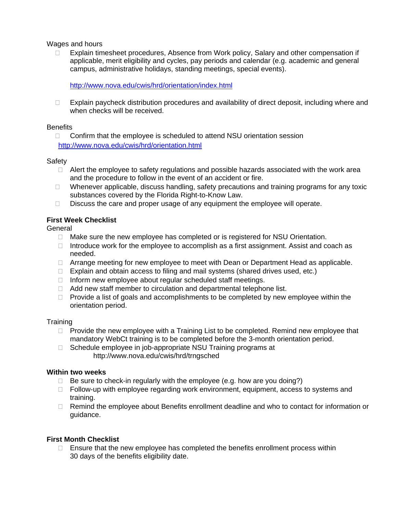### Wages and hours

□ Explain timesheet procedures, Absence from Work policy, Salary and other compensation if applicable, merit eligibility and cycles, pay periods and calendar (e.g. academic and general campus, administrative holidays, standing meetings, special events).

http://www.nova.edu/cwis/hrd/orientation/index.html

 $\Box$  Explain paycheck distribution procedures and availability of direct deposit, including where and when checks will be received.

### **Benefits**

□ Confirm that the employee is scheduled to attend NSU orientation session http://www.nova.edu/cwis/hrd/orientation.html

#### Safety

- $\Box$  Alert the employee to safety regulations and possible hazards associated with the work area and the procedure to follow in the event of an accident or fire.
- □ Whenever applicable, discuss handling, safety precautions and training programs for any toxic substances covered by the Florida Right-to-Know Law.
- $\Box$  Discuss the care and proper usage of any equipment the employee will operate.

### **First Week Checklist**

#### General

- $\Box$  Make sure the new employee has completed or is registered for NSU Orientation.
- Introduce work for the employee to accomplish as a first assignment. Assist and coach as needed.
- □ Arrange meeting for new employee to meet with Dean or Department Head as applicable.
- $\Box$  Explain and obtain access to filing and mail systems (shared drives used, etc.)
- $\Box$  Inform new employee about regular scheduled staff meetings.
- $\Box$  Add new staff member to circulation and departmental telephone list.
- $\Box$  Provide a list of goals and accomplishments to be completed by new employee within the orientation period.

#### **Training**

- $\Box$  Provide the new employee with a Training List to be completed. Remind new employee that mandatory WebCt training is to be completed before the 3-month orientation period.
- □ Schedule employee in job-appropriate NSU Training programs at http://www.nova.edu/cwis/hrd/trngsched

### **Within two weeks**

- $\Box$  Be sure to check-in regularly with the employee (e.g. how are you doing?)
- $\Box$  Follow-up with employee regarding work environment, equipment, access to systems and training.
- □ Remind the employee about Benefits enrollment deadline and who to contact for information or guidance.

## **First Month Checklist**

 $\Box$  Ensure that the new employee has completed the benefits enrollment process within 30 days of the benefits eligibility date.